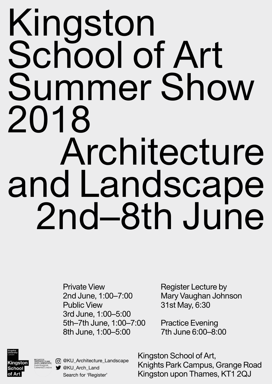## Kingston School of Art Summer Show 2018 Architecture and Landscape 2nd–8th June

Private View

2nd June, 1:00–7:00 Public View 3rd June, 1:00–5:00 5th–7th June, 1:00–7:00 8th June, 1:00–5:00 Mary Vaughan Johnson 31st May, 6:30 Practice Evening 7th June 6:00–8:00



REGISTER<br>ARCHITECTURE<br>AND LANDSCAPE<br>From Kingston<br>University London

Register Lecture by

Kingston School of Art, Knights Park Campus, Grange Road Kingston upon Thames, KT1 2QJ

@KU\_Architecture\_Landscape **y** @KU\_Arch\_Land Search for 'Register'